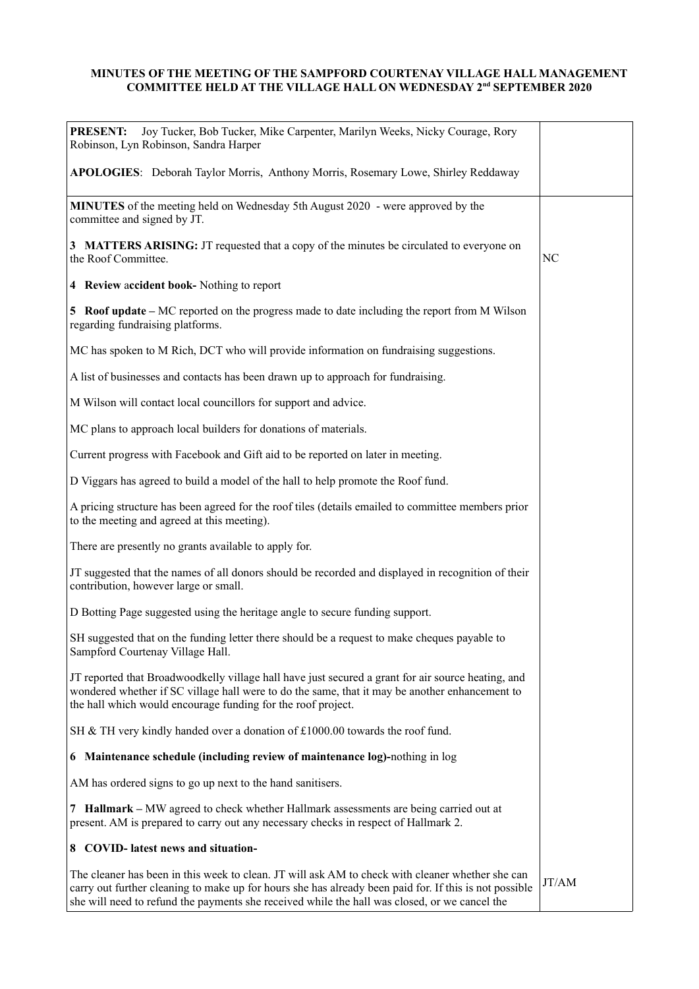## **MINUTES OF THE MEETING OF THE SAMPFORD COURTENAY VILLAGE HALL MANAGEMENT COMMITTEE HELD AT THE VILLAGE HALL ON WEDNESDAY 2nd SEPTEMBER 2020**

| <b>PRESENT:</b><br>Joy Tucker, Bob Tucker, Mike Carpenter, Marilyn Weeks, Nicky Courage, Rory<br>Robinson, Lyn Robinson, Sandra Harper                                                                                                                                                                      |       |
|-------------------------------------------------------------------------------------------------------------------------------------------------------------------------------------------------------------------------------------------------------------------------------------------------------------|-------|
| APOLOGIES: Deborah Taylor Morris, Anthony Morris, Rosemary Lowe, Shirley Reddaway                                                                                                                                                                                                                           |       |
| <b>MINUTES</b> of the meeting held on Wednesday 5th August 2020 - were approved by the<br>committee and signed by JT.                                                                                                                                                                                       |       |
| 3 MATTERS ARISING: JT requested that a copy of the minutes be circulated to everyone on<br>the Roof Committee.                                                                                                                                                                                              | NC    |
| 4 Review accident book- Nothing to report                                                                                                                                                                                                                                                                   |       |
| 5 Roof update – MC reported on the progress made to date including the report from M Wilson<br>regarding fundraising platforms.                                                                                                                                                                             |       |
| MC has spoken to M Rich, DCT who will provide information on fundraising suggestions.                                                                                                                                                                                                                       |       |
| A list of businesses and contacts has been drawn up to approach for fundraising.                                                                                                                                                                                                                            |       |
| M Wilson will contact local councillors for support and advice.                                                                                                                                                                                                                                             |       |
| MC plans to approach local builders for donations of materials.                                                                                                                                                                                                                                             |       |
| Current progress with Facebook and Gift aid to be reported on later in meeting.                                                                                                                                                                                                                             |       |
| D Viggars has agreed to build a model of the hall to help promote the Roof fund.                                                                                                                                                                                                                            |       |
| A pricing structure has been agreed for the roof tiles (details emailed to committee members prior<br>to the meeting and agreed at this meeting).                                                                                                                                                           |       |
| There are presently no grants available to apply for.                                                                                                                                                                                                                                                       |       |
| JT suggested that the names of all donors should be recorded and displayed in recognition of their<br>contribution, however large or small.                                                                                                                                                                 |       |
| D Botting Page suggested using the heritage angle to secure funding support.                                                                                                                                                                                                                                |       |
| SH suggested that on the funding letter there should be a request to make cheques payable to<br>Sampford Courtenay Village Hall.                                                                                                                                                                            |       |
| JT reported that Broadwoodkelly village hall have just secured a grant for air source heating, and<br>wondered whether if SC village hall were to do the same, that it may be another enhancement to<br>the hall which would encourage funding for the roof project.                                        |       |
| SH & TH very kindly handed over a donation of £1000.00 towards the roof fund.                                                                                                                                                                                                                               |       |
| 6 Maintenance schedule (including review of maintenance log)-nothing in log                                                                                                                                                                                                                                 |       |
| AM has ordered signs to go up next to the hand sanitisers.                                                                                                                                                                                                                                                  |       |
| 7 Hallmark – MW agreed to check whether Hallmark assessments are being carried out at<br>present. AM is prepared to carry out any necessary checks in respect of Hallmark 2.                                                                                                                                |       |
| 8 COVID-latest news and situation-                                                                                                                                                                                                                                                                          |       |
| The cleaner has been in this week to clean. JT will ask AM to check with cleaner whether she can<br>carry out further cleaning to make up for hours she has already been paid for. If this is not possible<br>she will need to refund the payments she received while the hall was closed, or we cancel the | JT/AM |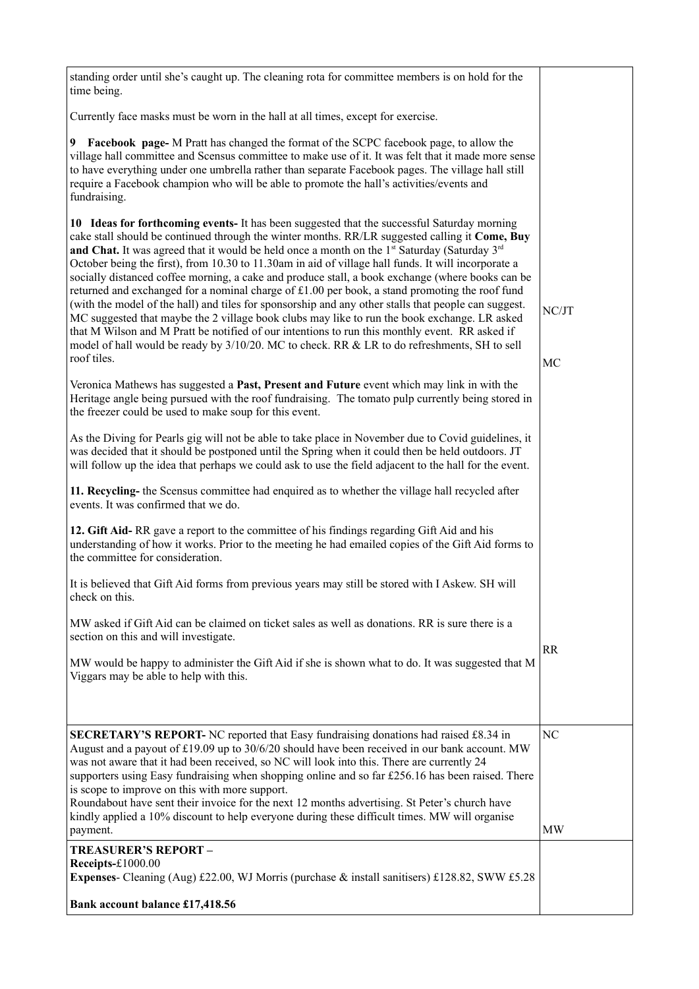| standing order until she's caught up. The cleaning rota for committee members is on hold for the<br>time being.                                                                                                                                                                                                                                                                                                                                                                                                                                                                                                                                                                                                                                                                                                                                                                                                                                                                                                                                             |             |
|-------------------------------------------------------------------------------------------------------------------------------------------------------------------------------------------------------------------------------------------------------------------------------------------------------------------------------------------------------------------------------------------------------------------------------------------------------------------------------------------------------------------------------------------------------------------------------------------------------------------------------------------------------------------------------------------------------------------------------------------------------------------------------------------------------------------------------------------------------------------------------------------------------------------------------------------------------------------------------------------------------------------------------------------------------------|-------------|
| Currently face masks must be worn in the hall at all times, except for exercise.                                                                                                                                                                                                                                                                                                                                                                                                                                                                                                                                                                                                                                                                                                                                                                                                                                                                                                                                                                            |             |
| Facebook page- M Pratt has changed the format of the SCPC facebook page, to allow the<br>9<br>village hall committee and Scensus committee to make use of it. It was felt that it made more sense<br>to have everything under one umbrella rather than separate Facebook pages. The village hall still<br>require a Facebook champion who will be able to promote the hall's activities/events and<br>fundraising.                                                                                                                                                                                                                                                                                                                                                                                                                                                                                                                                                                                                                                          |             |
| 10 Ideas for forthcoming events- It has been suggested that the successful Saturday morning<br>cake stall should be continued through the winter months. RR/LR suggested calling it Come, Buy<br><b>and Chat.</b> It was agreed that it would be held once a month on the 1 <sup>st</sup> Saturday (Saturday $3^{rd}$<br>October being the first), from 10.30 to 11.30am in aid of village hall funds. It will incorporate a<br>socially distanced coffee morning, a cake and produce stall, a book exchange (where books can be<br>returned and exchanged for a nominal charge of £1.00 per book, a stand promoting the roof fund<br>(with the model of the hall) and tiles for sponsorship and any other stalls that people can suggest.<br>MC suggested that maybe the 2 village book clubs may like to run the book exchange. LR asked<br>that M Wilson and M Pratt be notified of our intentions to run this monthly event. RR asked if<br>model of hall would be ready by 3/10/20. MC to check. RR & LR to do refreshments, SH to sell<br>roof tiles. | NC/JT<br>MC |
| Veronica Mathews has suggested a Past, Present and Future event which may link in with the<br>Heritage angle being pursued with the roof fundraising. The tomato pulp currently being stored in<br>the freezer could be used to make soup for this event.                                                                                                                                                                                                                                                                                                                                                                                                                                                                                                                                                                                                                                                                                                                                                                                                   |             |
| As the Diving for Pearls gig will not be able to take place in November due to Covid guidelines, it<br>was decided that it should be postponed until the Spring when it could then be held outdoors. JT<br>will follow up the idea that perhaps we could ask to use the field adjacent to the hall for the event.                                                                                                                                                                                                                                                                                                                                                                                                                                                                                                                                                                                                                                                                                                                                           |             |
| 11. Recycling- the Scensus committee had enquired as to whether the village hall recycled after<br>events. It was confirmed that we do.                                                                                                                                                                                                                                                                                                                                                                                                                                                                                                                                                                                                                                                                                                                                                                                                                                                                                                                     |             |
| 12. Gift Aid-RR gave a report to the committee of his findings regarding Gift Aid and his<br>understanding of how it works. Prior to the meeting he had emailed copies of the Gift Aid forms to<br>the committee for consideration.                                                                                                                                                                                                                                                                                                                                                                                                                                                                                                                                                                                                                                                                                                                                                                                                                         |             |
| It is believed that Gift Aid forms from previous years may still be stored with I Askew. SH will<br>check on this.                                                                                                                                                                                                                                                                                                                                                                                                                                                                                                                                                                                                                                                                                                                                                                                                                                                                                                                                          |             |
| MW asked if Gift Aid can be claimed on ticket sales as well as donations. RR is sure there is a<br>section on this and will investigate.                                                                                                                                                                                                                                                                                                                                                                                                                                                                                                                                                                                                                                                                                                                                                                                                                                                                                                                    |             |
| MW would be happy to administer the Gift Aid if she is shown what to do. It was suggested that M<br>Viggars may be able to help with this.                                                                                                                                                                                                                                                                                                                                                                                                                                                                                                                                                                                                                                                                                                                                                                                                                                                                                                                  | <b>RR</b>   |
| <b>SECRETARY'S REPORT-</b> NC reported that Easy fundraising donations had raised £8.34 in<br>August and a payout of £19.09 up to $30/6/20$ should have been received in our bank account. MW<br>was not aware that it had been received, so NC will look into this. There are currently 24<br>supporters using Easy fundraising when shopping online and so far £256.16 has been raised. There<br>is scope to improve on this with more support.<br>Roundabout have sent their invoice for the next 12 months advertising. St Peter's church have<br>kindly applied a 10% discount to help everyone during these difficult times. MW will organise<br>payment.                                                                                                                                                                                                                                                                                                                                                                                             | NC<br>MW    |
| TREASURER'S REPORT –<br>Receipts-£1000.00<br><b>Expenses</b> - Cleaning (Aug) £22.00, WJ Morris (purchase & install sanitisers) £128.82, SWW £5.28                                                                                                                                                                                                                                                                                                                                                                                                                                                                                                                                                                                                                                                                                                                                                                                                                                                                                                          |             |
| Bank account balance £17,418.56                                                                                                                                                                                                                                                                                                                                                                                                                                                                                                                                                                                                                                                                                                                                                                                                                                                                                                                                                                                                                             |             |